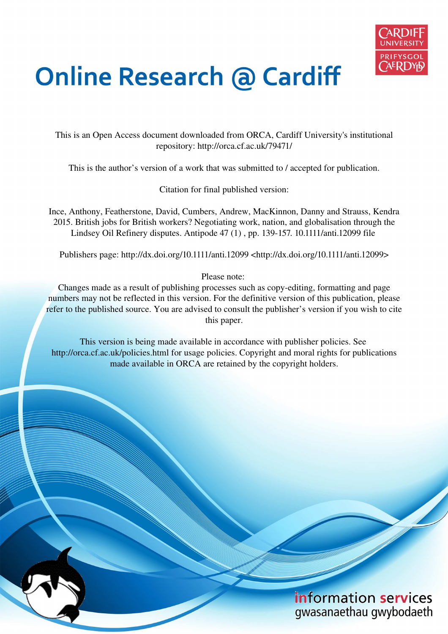

# **Online Research @ Cardiff**

This is an Open Access document downloaded from ORCA, Cardiff University's institutional repository: http://orca.cf.ac.uk/79471/

This is the author's version of a work that was submitted to / accepted for publication.

Citation for final published version:

Ince, Anthony, Featherstone, David, Cumbers, Andrew, MacKinnon, Danny and Strauss, Kendra 2015. British jobs for British workers? Negotiating work, nation, and globalisation through the Lindsey Oil Refinery disputes. Antipode 47 (1) , pp. 139-157. 10.1111/anti.12099 file

Publishers page: http://dx.doi.org/10.1111/anti.12099 <http://dx.doi.org/10.1111/anti.12099>

Please note:

Changes made as a result of publishing processes such as copy-editing, formatting and page numbers may not be reflected in this version. For the definitive version of this publication, please refer to the published source. You are advised to consult the publisher's version if you wish to cite this paper.

This version is being made available in accordance with publisher policies. See http://orca.cf.ac.uk/policies.html for usage policies. Copyright and moral rights for publications made available in ORCA are retained by the copyright holders.

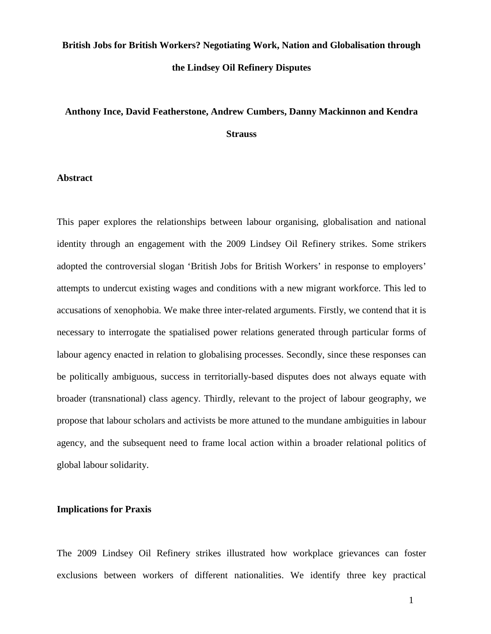# **British Jobs for British Workers? Negotiating Work, Nation and Globalisation through the Lindsey Oil Refinery Disputes**

# **Anthony Ince, David Featherstone, Andrew Cumbers, Danny Mackinnon and Kendra Strauss**

## **Abstract**

This paper explores the relationships between labour organising, globalisation and national identity through an engagement with the 2009 Lindsey Oil Refinery strikes. Some strikers adopted the controversial slogan 'British Jobs for British Workers' in response to employers' attempts to undercut existing wages and conditions with a new migrant workforce. This led to accusations of xenophobia. We make three inter-related arguments. Firstly, we contend that it is necessary to interrogate the spatialised power relations generated through particular forms of labour agency enacted in relation to globalising processes. Secondly, since these responses can be politically ambiguous, success in territorially-based disputes does not always equate with broader (transnational) class agency. Thirdly, relevant to the project of labour geography, we propose that labour scholars and activists be more attuned to the mundane ambiguities in labour agency, and the subsequent need to frame local action within a broader relational politics of global labour solidarity.

# **Implications for Praxis**

The 2009 Lindsey Oil Refinery strikes illustrated how workplace grievances can foster exclusions between workers of different nationalities. We identify three key practical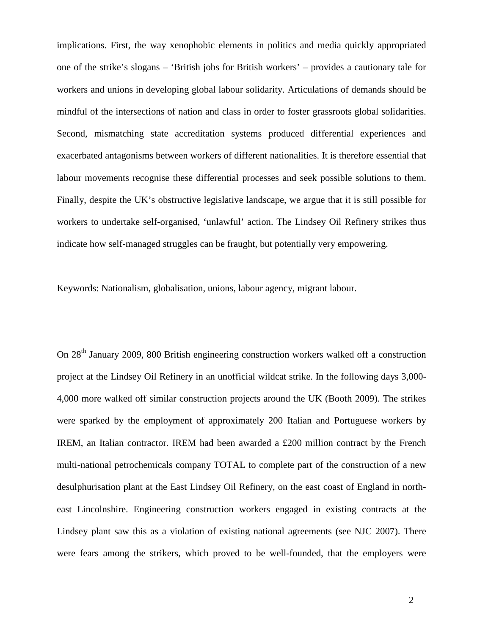implications. First, the way xenophobic elements in politics and media quickly appropriated one of the strike's slogans – 'British jobs for British workers' – provides a cautionary tale for workers and unions in developing global labour solidarity. Articulations of demands should be mindful of the intersections of nation and class in order to foster grassroots global solidarities. Second, mismatching state accreditation systems produced differential experiences and exacerbated antagonisms between workers of different nationalities. It is therefore essential that labour movements recognise these differential processes and seek possible solutions to them. Finally, despite the UK's obstructive legislative landscape, we argue that it is still possible for workers to undertake self-organised, 'unlawful' action. The Lindsey Oil Refinery strikes thus indicate how self-managed struggles can be fraught, but potentially very empowering.

Keywords: Nationalism, globalisation, unions, labour agency, migrant labour.

On 28th January 2009, 800 British engineering construction workers walked off a construction project at the Lindsey Oil Refinery in an unofficial wildcat strike. In the following days 3,000- 4,000 more walked off similar construction projects around the UK (Booth 2009). The strikes were sparked by the employment of approximately 200 Italian and Portuguese workers by IREM, an Italian contractor. IREM had been awarded a £200 million contract by the French multi-national petrochemicals company TOTAL to complete part of the construction of a new desulphurisation plant at the East Lindsey Oil Refinery, on the east coast of England in northeast Lincolnshire. Engineering construction workers engaged in existing contracts at the Lindsey plant saw this as a violation of existing national agreements (see NJC 2007). There were fears among the strikers, which proved to be well-founded, that the employers were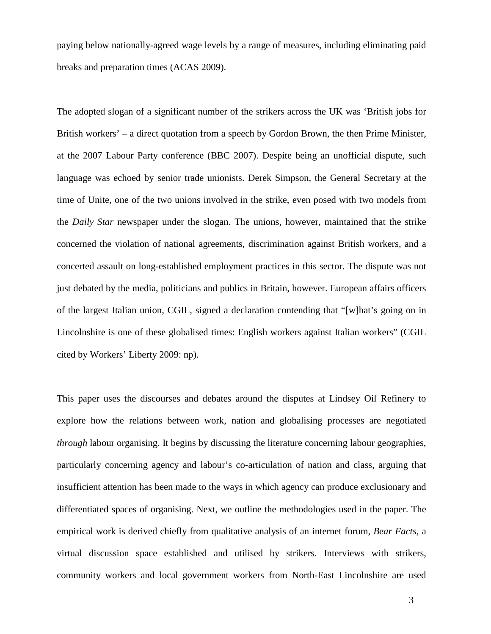paying below nationally-agreed wage levels by a range of measures, including eliminating paid breaks and preparation times (ACAS 2009).

The adopted slogan of a significant number of the strikers across the UK was 'British jobs for British workers' – a direct quotation from a speech by Gordon Brown, the then Prime Minister, at the 2007 Labour Party conference (BBC 2007). Despite being an unofficial dispute, such language was echoed by senior trade unionists. Derek Simpson, the General Secretary at the time of Unite, one of the two unions involved in the strike, even posed with two models from the *Daily Star* newspaper under the slogan. The unions, however, maintained that the strike concerned the violation of national agreements, discrimination against British workers, and a concerted assault on long-established employment practices in this sector. The dispute was not just debated by the media, politicians and publics in Britain, however. European affairs officers of the largest Italian union, CGIL, signed a declaration contending that "[w]hat's going on in Lincolnshire is one of these globalised times: English workers against Italian workers" (CGIL cited by Workers' Liberty 2009: np).

This paper uses the discourses and debates around the disputes at Lindsey Oil Refinery to explore how the relations between work, nation and globalising processes are negotiated *through* labour organising. It begins by discussing the literature concerning labour geographies, particularly concerning agency and labour's co-articulation of nation and class, arguing that insufficient attention has been made to the ways in which agency can produce exclusionary and differentiated spaces of organising. Next, we outline the methodologies used in the paper. The empirical work is derived chiefly from qualitative analysis of an internet forum, *Bear Facts*, a virtual discussion space established and utilised by strikers. Interviews with strikers, community workers and local government workers from North-East Lincolnshire are used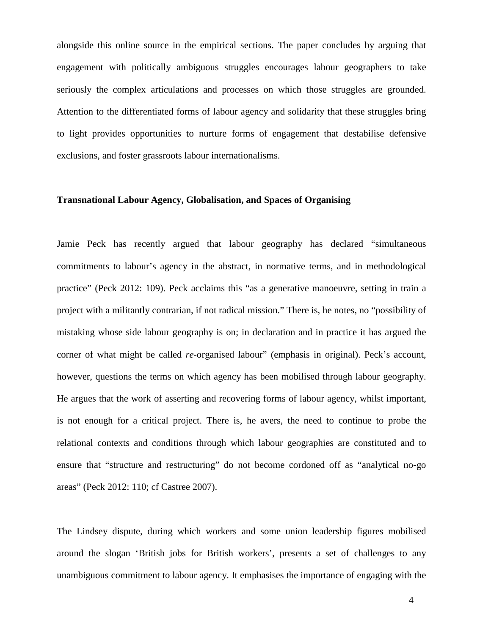alongside this online source in the empirical sections. The paper concludes by arguing that engagement with politically ambiguous struggles encourages labour geographers to take seriously the complex articulations and processes on which those struggles are grounded. Attention to the differentiated forms of labour agency and solidarity that these struggles bring to light provides opportunities to nurture forms of engagement that destabilise defensive exclusions, and foster grassroots labour internationalisms.

#### **Transnational Labour Agency, Globalisation, and Spaces of Organising**

Jamie Peck has recently argued that labour geography has declared "simultaneous commitments to labour's agency in the abstract, in normative terms, and in methodological practice" (Peck 2012: 109). Peck acclaims this "as a generative manoeuvre, setting in train a project with a militantly contrarian, if not radical mission." There is, he notes, no "possibility of mistaking whose side labour geography is on; in declaration and in practice it has argued the corner of what might be called *re*-organised labour" (emphasis in original). Peck's account, however, questions the terms on which agency has been mobilised through labour geography. He argues that the work of asserting and recovering forms of labour agency, whilst important, is not enough for a critical project. There is, he avers, the need to continue to probe the relational contexts and conditions through which labour geographies are constituted and to ensure that "structure and restructuring" do not become cordoned off as "analytical no-go areas" (Peck 2012: 110; cf Castree 2007).

The Lindsey dispute, during which workers and some union leadership figures mobilised around the slogan 'British jobs for British workers', presents a set of challenges to any unambiguous commitment to labour agency. It emphasises the importance of engaging with the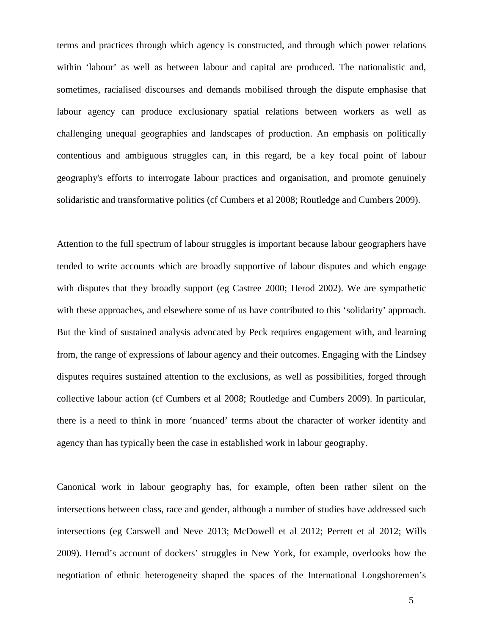terms and practices through which agency is constructed, and through which power relations within 'labour' as well as between labour and capital are produced. The nationalistic and, sometimes, racialised discourses and demands mobilised through the dispute emphasise that labour agency can produce exclusionary spatial relations between workers as well as challenging unequal geographies and landscapes of production. An emphasis on politically contentious and ambiguous struggles can, in this regard, be a key focal point of labour geography's efforts to interrogate labour practices and organisation, and promote genuinely solidaristic and transformative politics (cf Cumbers et al 2008; Routledge and Cumbers 2009).

Attention to the full spectrum of labour struggles is important because labour geographers have tended to write accounts which are broadly supportive of labour disputes and which engage with disputes that they broadly support (eg Castree 2000; Herod 2002). We are sympathetic with these approaches, and elsewhere some of us have contributed to this 'solidarity' approach. But the kind of sustained analysis advocated by Peck requires engagement with, and learning from, the range of expressions of labour agency and their outcomes. Engaging with the Lindsey disputes requires sustained attention to the exclusions, as well as possibilities, forged through collective labour action (cf Cumbers et al 2008; Routledge and Cumbers 2009). In particular, there is a need to think in more 'nuanced' terms about the character of worker identity and agency than has typically been the case in established work in labour geography.

Canonical work in labour geography has, for example, often been rather silent on the intersections between class, race and gender, although a number of studies have addressed such intersections (eg Carswell and Neve 2013; McDowell et al 2012; Perrett et al 2012; Wills 2009). Herod's account of dockers' struggles in New York, for example, overlooks how the negotiation of ethnic heterogeneity shaped the spaces of the International Longshoremen's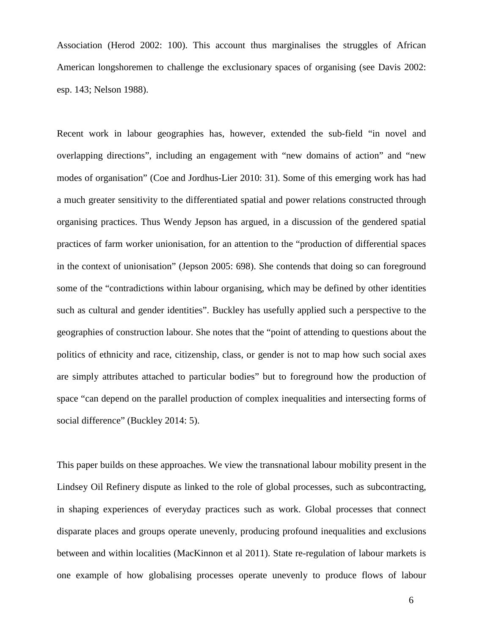Association (Herod 2002: 100). This account thus marginalises the struggles of African American longshoremen to challenge the exclusionary spaces of organising (see Davis 2002: esp. 143; Nelson 1988).

Recent work in labour geographies has, however, extended the sub-field "in novel and overlapping directions", including an engagement with "new domains of action" and "new modes of organisation" (Coe and Jordhus-Lier 2010: 31). Some of this emerging work has had a much greater sensitivity to the differentiated spatial and power relations constructed through organising practices. Thus Wendy Jepson has argued, in a discussion of the gendered spatial practices of farm worker unionisation, for an attention to the "production of differential spaces in the context of unionisation" (Jepson 2005: 698). She contends that doing so can foreground some of the "contradictions within labour organising, which may be defined by other identities such as cultural and gender identities". Buckley has usefully applied such a perspective to the geographies of construction labour. She notes that the "point of attending to questions about the politics of ethnicity and race, citizenship, class, or gender is not to map how such social axes are simply attributes attached to particular bodies" but to foreground how the production of space "can depend on the parallel production of complex inequalities and intersecting forms of social difference" (Buckley 2014: 5).

This paper builds on these approaches. We view the transnational labour mobility present in the Lindsey Oil Refinery dispute as linked to the role of global processes, such as subcontracting, in shaping experiences of everyday practices such as work. Global processes that connect disparate places and groups operate unevenly, producing profound inequalities and exclusions between and within localities (MacKinnon et al 2011). State re-regulation of labour markets is one example of how globalising processes operate unevenly to produce flows of labour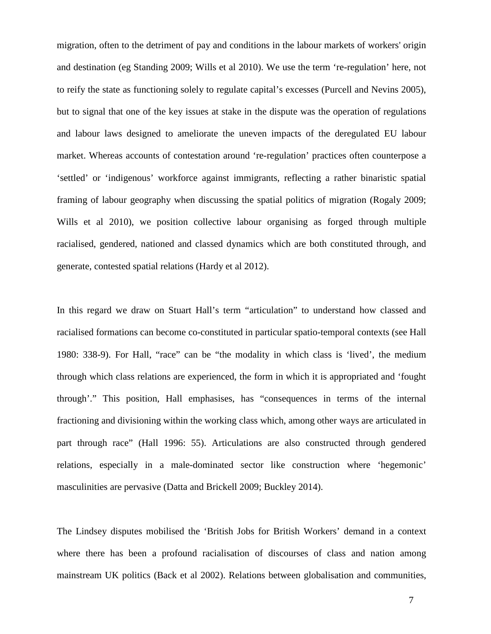migration, often to the detriment of pay and conditions in the labour markets of workers' origin and destination (eg Standing 2009; Wills et al 2010). We use the term 're-regulation' here, not to reify the state as functioning solely to regulate capital's excesses (Purcell and Nevins 2005), but to signal that one of the key issues at stake in the dispute was the operation of regulations and labour laws designed to ameliorate the uneven impacts of the deregulated EU labour market. Whereas accounts of contestation around 're-regulation' practices often counterpose a 'settled' or 'indigenous' workforce against immigrants, reflecting a rather binaristic spatial framing of labour geography when discussing the spatial politics of migration (Rogaly 2009; Wills et al 2010), we position collective labour organising as forged through multiple racialised, gendered, nationed and classed dynamics which are both constituted through, and generate, contested spatial relations (Hardy et al 2012).

In this regard we draw on Stuart Hall's term "articulation" to understand how classed and racialised formations can become co-constituted in particular spatio-temporal contexts (see Hall 1980: 338-9). For Hall, "race" can be "the modality in which class is 'lived', the medium through which class relations are experienced, the form in which it is appropriated and 'fought through'." This position, Hall emphasises, has "consequences in terms of the internal fractioning and divisioning within the working class which, among other ways are articulated in part through race" (Hall 1996: 55). Articulations are also constructed through gendered relations, especially in a male-dominated sector like construction where 'hegemonic' masculinities are pervasive (Datta and Brickell 2009; Buckley 2014).

The Lindsey disputes mobilised the 'British Jobs for British Workers' demand in a context where there has been a profound racialisation of discourses of class and nation among mainstream UK politics (Back et al 2002). Relations between globalisation and communities,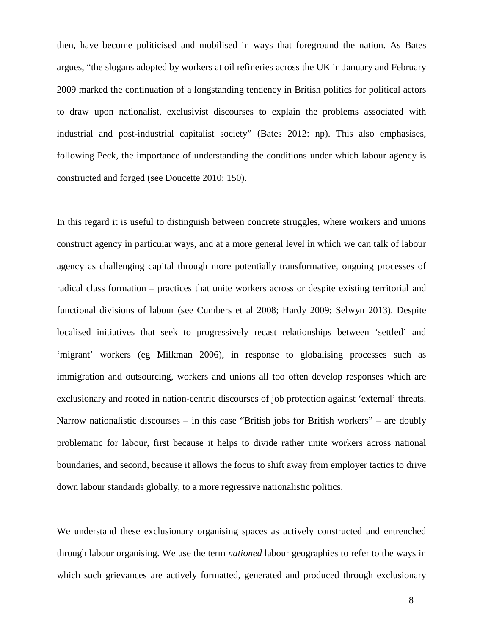then, have become politicised and mobilised in ways that foreground the nation. As Bates argues, "the slogans adopted by workers at oil refineries across the UK in January and February 2009 marked the continuation of a longstanding tendency in British politics for political actors to draw upon nationalist, exclusivist discourses to explain the problems associated with industrial and post-industrial capitalist society" (Bates 2012: np). This also emphasises, following Peck, the importance of understanding the conditions under which labour agency is constructed and forged (see Doucette 2010: 150).

In this regard it is useful to distinguish between concrete struggles, where workers and unions construct agency in particular ways, and at a more general level in which we can talk of labour agency as challenging capital through more potentially transformative, ongoing processes of radical class formation – practices that unite workers across or despite existing territorial and functional divisions of labour (see Cumbers et al 2008; Hardy 2009; Selwyn 2013). Despite localised initiatives that seek to progressively recast relationships between 'settled' and 'migrant' workers (eg Milkman 2006), in response to globalising processes such as immigration and outsourcing, workers and unions all too often develop responses which are exclusionary and rooted in nation-centric discourses of job protection against 'external' threats. Narrow nationalistic discourses – in this case "British jobs for British workers" – are doubly problematic for labour, first because it helps to divide rather unite workers across national boundaries, and second, because it allows the focus to shift away from employer tactics to drive down labour standards globally, to a more regressive nationalistic politics.

We understand these exclusionary organising spaces as actively constructed and entrenched through labour organising. We use the term *nationed* labour geographies to refer to the ways in which such grievances are actively formatted, generated and produced through exclusionary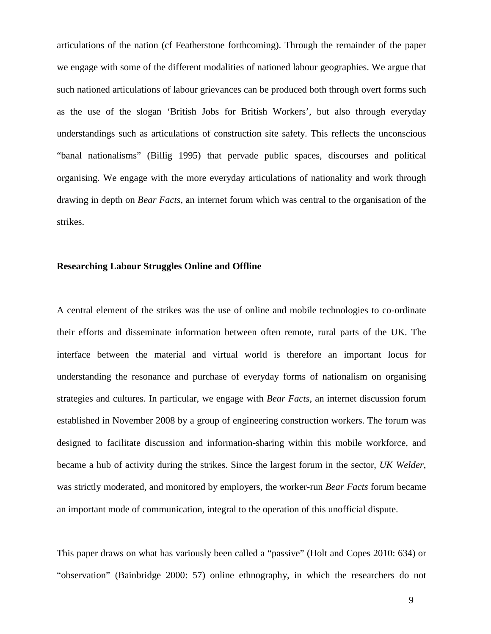articulations of the nation (cf Featherstone forthcoming). Through the remainder of the paper we engage with some of the different modalities of nationed labour geographies. We argue that such nationed articulations of labour grievances can be produced both through overt forms such as the use of the slogan 'British Jobs for British Workers', but also through everyday understandings such as articulations of construction site safety. This reflects the unconscious "banal nationalisms" (Billig 1995) that pervade public spaces, discourses and political organising. We engage with the more everyday articulations of nationality and work through drawing in depth on *Bear Facts*, an internet forum which was central to the organisation of the strikes.

## **Researching Labour Struggles Online and Offline**

A central element of the strikes was the use of online and mobile technologies to co-ordinate their efforts and disseminate information between often remote, rural parts of the UK. The interface between the material and virtual world is therefore an important locus for understanding the resonance and purchase of everyday forms of nationalism on organising strategies and cultures. In particular, we engage with *Bear Facts*, an internet discussion forum established in November 2008 by a group of engineering construction workers. The forum was designed to facilitate discussion and information-sharing within this mobile workforce, and became a hub of activity during the strikes. Since the largest forum in the sector, *UK Welder*, was strictly moderated, and monitored by employers, the worker-run *Bear Facts* forum became an important mode of communication, integral to the operation of this unofficial dispute.

This paper draws on what has variously been called a "passive" (Holt and Copes 2010: 634) or "observation" (Bainbridge 2000: 57) online ethnography, in which the researchers do not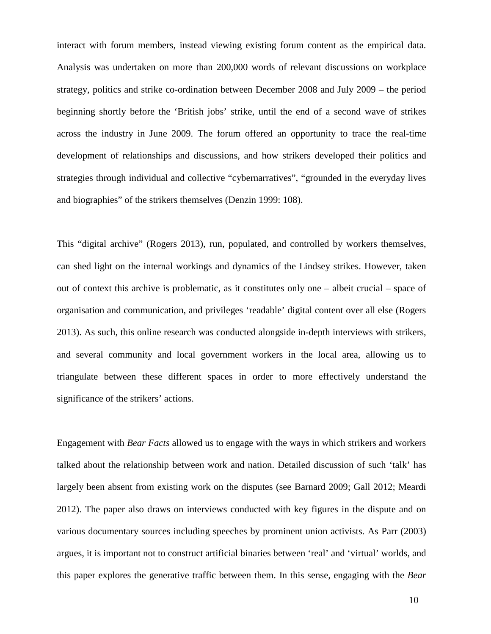interact with forum members, instead viewing existing forum content as the empirical data. Analysis was undertaken on more than 200,000 words of relevant discussions on workplace strategy, politics and strike co-ordination between December 2008 and July 2009 – the period beginning shortly before the 'British jobs' strike, until the end of a second wave of strikes across the industry in June 2009. The forum offered an opportunity to trace the real-time development of relationships and discussions, and how strikers developed their politics and strategies through individual and collective "cybernarratives", "grounded in the everyday lives and biographies" of the strikers themselves (Denzin 1999: 108).

This "digital archive" (Rogers 2013), run, populated, and controlled by workers themselves, can shed light on the internal workings and dynamics of the Lindsey strikes. However, taken out of context this archive is problematic, as it constitutes only one – albeit crucial – space of organisation and communication, and privileges 'readable' digital content over all else (Rogers 2013). As such, this online research was conducted alongside in-depth interviews with strikers, and several community and local government workers in the local area, allowing us to triangulate between these different spaces in order to more effectively understand the significance of the strikers' actions.

Engagement with *Bear Facts* allowed us to engage with the ways in which strikers and workers talked about the relationship between work and nation. Detailed discussion of such 'talk' has largely been absent from existing work on the disputes (see Barnard 2009; Gall 2012; Meardi 2012). The paper also draws on interviews conducted with key figures in the dispute and on various documentary sources including speeches by prominent union activists. As Parr (2003) argues, it is important not to construct artificial binaries between 'real' and 'virtual' worlds, and this paper explores the generative traffic between them. In this sense, engaging with the *Bear*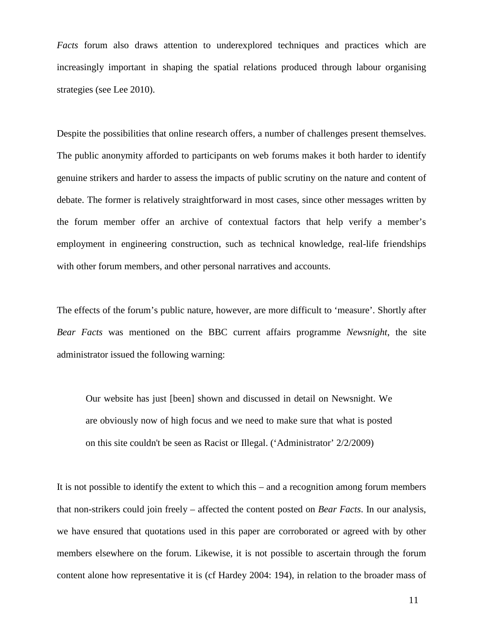*Facts* forum also draws attention to underexplored techniques and practices which are increasingly important in shaping the spatial relations produced through labour organising strategies (see Lee 2010).

Despite the possibilities that online research offers, a number of challenges present themselves. The public anonymity afforded to participants on web forums makes it both harder to identify genuine strikers and harder to assess the impacts of public scrutiny on the nature and content of debate. The former is relatively straightforward in most cases, since other messages written by the forum member offer an archive of contextual factors that help verify a member's employment in engineering construction, such as technical knowledge, real-life friendships with other forum members, and other personal narratives and accounts.

The effects of the forum's public nature, however, are more difficult to 'measure'. Shortly after *Bear Facts* was mentioned on the BBC current affairs programme *Newsnight*, the site administrator issued the following warning:

Our website has just [been] shown and discussed in detail on Newsnight. We are obviously now of high focus and we need to make sure that what is posted on this site couldn't be seen as Racist or Illegal. ('Administrator' 2/2/2009)

It is not possible to identify the extent to which this – and a recognition among forum members that non-strikers could join freely – affected the content posted on *Bear Facts*. In our analysis, we have ensured that quotations used in this paper are corroborated or agreed with by other members elsewhere on the forum. Likewise, it is not possible to ascertain through the forum content alone how representative it is (cf Hardey 2004: 194), in relation to the broader mass of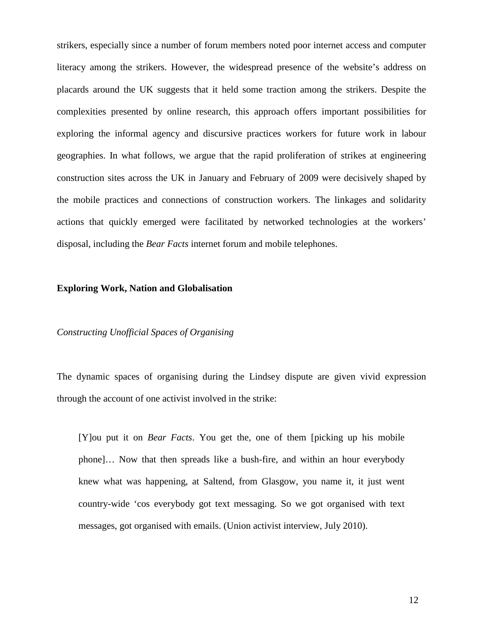strikers, especially since a number of forum members noted poor internet access and computer literacy among the strikers. However, the widespread presence of the website's address on placards around the UK suggests that it held some traction among the strikers. Despite the complexities presented by online research, this approach offers important possibilities for exploring the informal agency and discursive practices workers for future work in labour geographies. In what follows, we argue that the rapid proliferation of strikes at engineering construction sites across the UK in January and February of 2009 were decisively shaped by the mobile practices and connections of construction workers. The linkages and solidarity actions that quickly emerged were facilitated by networked technologies at the workers' disposal, including the *Bear Facts* internet forum and mobile telephones.

#### **Exploring Work, Nation and Globalisation**

# *Constructing Unofficial Spaces of Organising*

The dynamic spaces of organising during the Lindsey dispute are given vivid expression through the account of one activist involved in the strike:

[Y]ou put it on *Bear Facts*. You get the, one of them [picking up his mobile phone]… Now that then spreads like a bush-fire, and within an hour everybody knew what was happening, at Saltend, from Glasgow, you name it, it just went country-wide 'cos everybody got text messaging. So we got organised with text messages, got organised with emails. (Union activist interview, July 2010).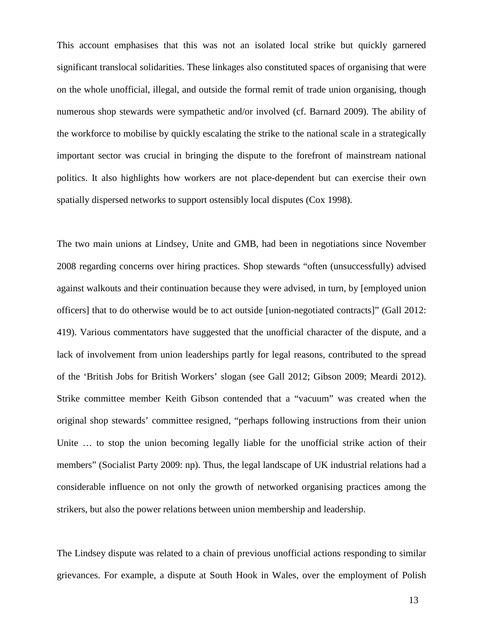This account emphasises that this was not an isolated local strike but quickly garnered significant translocal solidarities. These linkages also constituted spaces of organising that were on the whole unofficial, illegal, and outside the formal remit of trade union organising, though numerous shop stewards were sympathetic and/or involved (cf. Barnard 2009). The ability of the workforce to mobilise by quickly escalating the strike to the national scale in a strategically important sector was crucial in bringing the dispute to the forefront of mainstream national politics. It also highlights how workers are not place-dependent but can exercise their own spatially dispersed networks to support ostensibly local disputes (Cox 1998).

The two main unions at Lindsey, Unite and GMB, had been in negotiations since November 2008 regarding concerns over hiring practices. Shop stewards "often (unsuccessfully) advised against walkouts and their continuation because they were advised, in turn, by [employed union officers] that to do otherwise would be to act outside [union-negotiated contracts]" (Gall 2012: 419). Various commentators have suggested that the unofficial character of the dispute, and a lack of involvement from union leaderships partly for legal reasons, contributed to the spread of the 'British Jobs for British Workers' slogan (see Gall 2012; Gibson 2009; Meardi 2012). Strike committee member Keith Gibson contended that a "vacuum" was created when the original shop stewards' committee resigned, "perhaps following instructions from their union Unite ... to stop the union becoming legally liable for the unofficial strike action of their members" (Socialist Party 2009: np). Thus, the legal landscape of UK industrial relations had a considerable influence on not only the growth of networked organising practices among the strikers, but also the power relations between union membership and leadership.

The Lindsey dispute was related to a chain of previous unofficial actions responding to similar grievances. For example, a dispute at South Hook in Wales, over the employment of Polish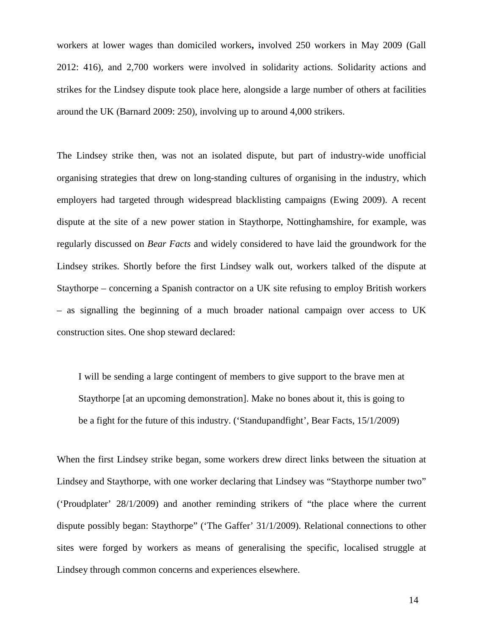workers at lower wages than domiciled workers**,** involved 250 workers in May 2009 (Gall 2012: 416), and 2,700 workers were involved in solidarity actions. Solidarity actions and strikes for the Lindsey dispute took place here, alongside a large number of others at facilities around the UK (Barnard 2009: 250), involving up to around 4,000 strikers.

The Lindsey strike then, was not an isolated dispute, but part of industry-wide unofficial organising strategies that drew on long-standing cultures of organising in the industry, which employers had targeted through widespread blacklisting campaigns (Ewing 2009). A recent dispute at the site of a new power station in Staythorpe, Nottinghamshire, for example, was regularly discussed on *Bear Facts* and widely considered to have laid the groundwork for the Lindsey strikes. Shortly before the first Lindsey walk out, workers talked of the dispute at Staythorpe – concerning a Spanish contractor on a UK site refusing to employ British workers – as signalling the beginning of a much broader national campaign over access to UK construction sites. One shop steward declared:

I will be sending a large contingent of members to give support to the brave men at Staythorpe [at an upcoming demonstration]. Make no bones about it, this is going to be a fight for the future of this industry. ('Standupandfight', Bear Facts, 15/1/2009)

When the first Lindsey strike began, some workers drew direct links between the situation at Lindsey and Staythorpe, with one worker declaring that Lindsey was "Staythorpe number two" ('Proudplater' 28/1/2009) and another reminding strikers of "the place where the current dispute possibly began: Staythorpe" ('The Gaffer' 31/1/2009). Relational connections to other sites were forged by workers as means of generalising the specific, localised struggle at Lindsey through common concerns and experiences elsewhere.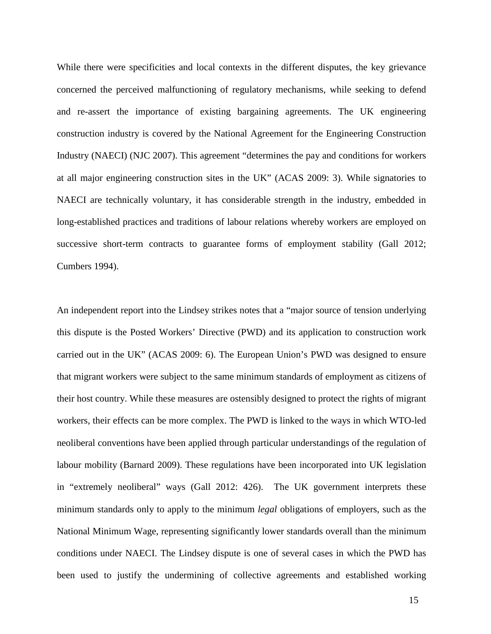While there were specificities and local contexts in the different disputes, the key grievance concerned the perceived malfunctioning of regulatory mechanisms, while seeking to defend and re-assert the importance of existing bargaining agreements. The UK engineering construction industry is covered by the National Agreement for the Engineering Construction Industry (NAECI) (NJC 2007). This agreement "determines the pay and conditions for workers at all major engineering construction sites in the UK" (ACAS 2009: 3). While signatories to NAECI are technically voluntary, it has considerable strength in the industry, embedded in long-established practices and traditions of labour relations whereby workers are employed on successive short-term contracts to guarantee forms of employment stability (Gall 2012; Cumbers 1994).

An independent report into the Lindsey strikes notes that a "major source of tension underlying this dispute is the Posted Workers' Directive (PWD) and its application to construction work carried out in the UK" (ACAS 2009: 6). The European Union's PWD was designed to ensure that migrant workers were subject to the same minimum standards of employment as citizens of their host country. While these measures are ostensibly designed to protect the rights of migrant workers, their effects can be more complex. The PWD is linked to the ways in which WTO-led neoliberal conventions have been applied through particular understandings of the regulation of labour mobility (Barnard 2009). These regulations have been incorporated into UK legislation in "extremely neoliberal" ways (Gall 2012: 426). The UK government interprets these minimum standards only to apply to the minimum *legal* obligations of employers, such as the National Minimum Wage, representing significantly lower standards overall than the minimum conditions under NAECI. The Lindsey dispute is one of several cases in which the PWD has been used to justify the undermining of collective agreements and established working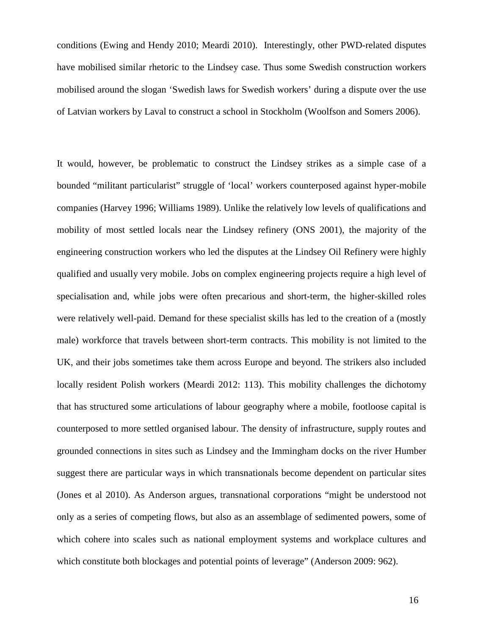conditions (Ewing and Hendy 2010; Meardi 2010). Interestingly, other PWD-related disputes have mobilised similar rhetoric to the Lindsey case. Thus some Swedish construction workers mobilised around the slogan 'Swedish laws for Swedish workers' during a dispute over the use of Latvian workers by Laval to construct a school in Stockholm (Woolfson and Somers 2006).

It would, however, be problematic to construct the Lindsey strikes as a simple case of a bounded "militant particularist" struggle of 'local' workers counterposed against hyper-mobile companies (Harvey 1996; Williams 1989). Unlike the relatively low levels of qualifications and mobility of most settled locals near the Lindsey refinery (ONS 2001), the majority of the engineering construction workers who led the disputes at the Lindsey Oil Refinery were highly qualified and usually very mobile. Jobs on complex engineering projects require a high level of specialisation and, while jobs were often precarious and short-term, the higher-skilled roles were relatively well-paid. Demand for these specialist skills has led to the creation of a (mostly male) workforce that travels between short-term contracts. This mobility is not limited to the UK, and their jobs sometimes take them across Europe and beyond. The strikers also included locally resident Polish workers (Meardi 2012: 113). This mobility challenges the dichotomy that has structured some articulations of labour geography where a mobile, footloose capital is counterposed to more settled organised labour. The density of infrastructure, supply routes and grounded connections in sites such as Lindsey and the Immingham docks on the river Humber suggest there are particular ways in which transnationals become dependent on particular sites (Jones et al 2010). As Anderson argues, transnational corporations "might be understood not only as a series of competing flows, but also as an assemblage of sedimented powers, some of which cohere into scales such as national employment systems and workplace cultures and which constitute both blockages and potential points of leverage" (Anderson 2009: 962).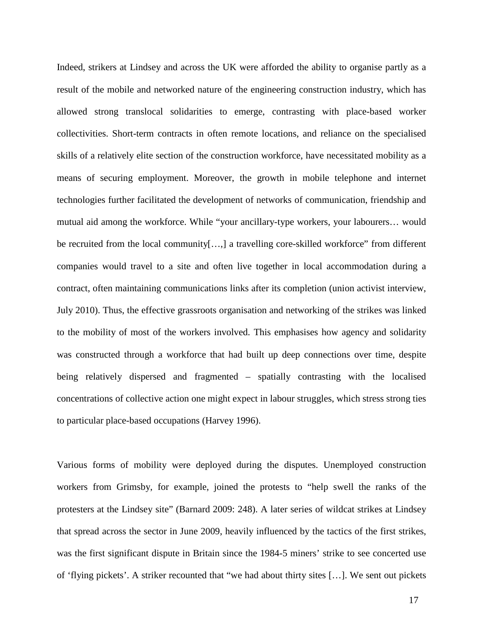Indeed, strikers at Lindsey and across the UK were afforded the ability to organise partly as a result of the mobile and networked nature of the engineering construction industry, which has allowed strong translocal solidarities to emerge, contrasting with place-based worker collectivities. Short-term contracts in often remote locations, and reliance on the specialised skills of a relatively elite section of the construction workforce, have necessitated mobility as a means of securing employment. Moreover, the growth in mobile telephone and internet technologies further facilitated the development of networks of communication, friendship and mutual aid among the workforce. While "your ancillary-type workers, your labourers… would be recruited from the local community[...,] a travelling core-skilled workforce" from different companies would travel to a site and often live together in local accommodation during a contract, often maintaining communications links after its completion (union activist interview, July 2010). Thus, the effective grassroots organisation and networking of the strikes was linked to the mobility of most of the workers involved. This emphasises how agency and solidarity was constructed through a workforce that had built up deep connections over time, despite being relatively dispersed and fragmented – spatially contrasting with the localised concentrations of collective action one might expect in labour struggles, which stress strong ties to particular place-based occupations (Harvey 1996).

Various forms of mobility were deployed during the disputes. Unemployed construction workers from Grimsby, for example, joined the protests to "help swell the ranks of the protesters at the Lindsey site" (Barnard 2009: 248). A later series of wildcat strikes at Lindsey that spread across the sector in June 2009, heavily influenced by the tactics of the first strikes, was the first significant dispute in Britain since the 1984-5 miners' strike to see concerted use of 'flying pickets'. A striker recounted that "we had about thirty sites […]. We sent out pickets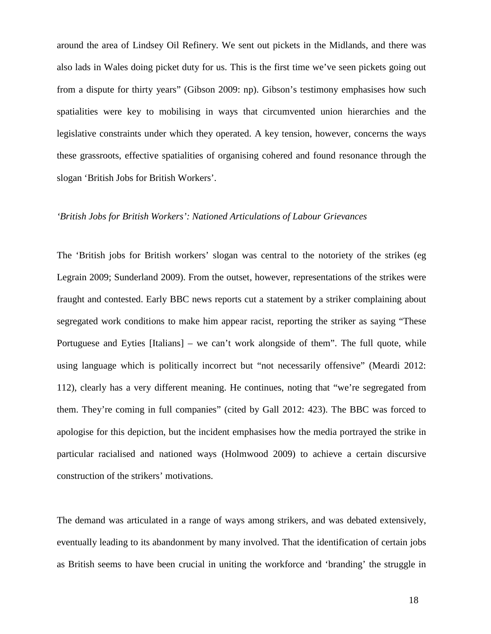around the area of Lindsey Oil Refinery. We sent out pickets in the Midlands, and there was also lads in Wales doing picket duty for us. This is the first time we've seen pickets going out from a dispute for thirty years" (Gibson 2009: np). Gibson's testimony emphasises how such spatialities were key to mobilising in ways that circumvented union hierarchies and the legislative constraints under which they operated. A key tension, however, concerns the ways these grassroots, effective spatialities of organising cohered and found resonance through the slogan 'British Jobs for British Workers'.

#### *'British Jobs for British Workers': Nationed Articulations of Labour Grievances*

The 'British jobs for British workers' slogan was central to the notoriety of the strikes (eg Legrain 2009; Sunderland 2009). From the outset, however, representations of the strikes were fraught and contested. Early BBC news reports cut a statement by a striker complaining about segregated work conditions to make him appear racist, reporting the striker as saying "These Portuguese and Eyties [Italians] – we can't work alongside of them". The full quote, while using language which is politically incorrect but "not necessarily offensive" (Meardi 2012: 112), clearly has a very different meaning. He continues, noting that "we're segregated from them. They're coming in full companies" (cited by Gall 2012: 423). The BBC was forced to apologise for this depiction, but the incident emphasises how the media portrayed the strike in particular racialised and nationed ways (Holmwood 2009) to achieve a certain discursive construction of the strikers' motivations.

The demand was articulated in a range of ways among strikers, and was debated extensively, eventually leading to its abandonment by many involved. That the identification of certain jobs as British seems to have been crucial in uniting the workforce and 'branding' the struggle in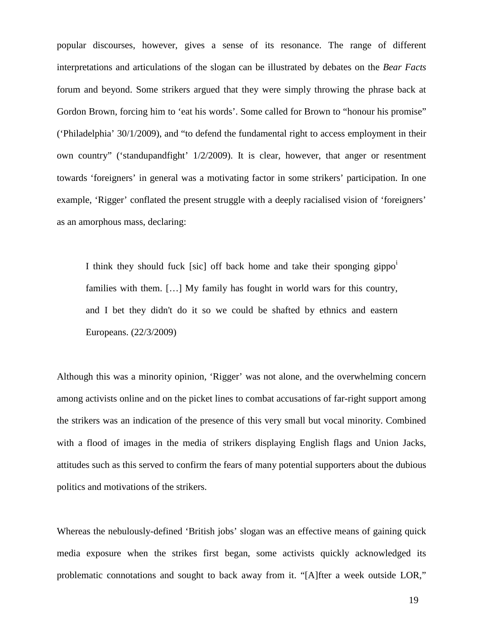popular discourses, however, gives a sense of its resonance. The range of different interpretations and articulations of the slogan can be illustrated by debates on the *Bear Facts* forum and beyond. Some strikers argued that they were simply throwing the phrase back at Gordon Brown, forcing him to 'eat his words'. Some called for Brown to "honour his promise" ('Philadelphia' 30/1/2009), and "to defend the fundamental right to access employment in their own country" ('standupandfight' 1/2/2009). It is clear, however, that anger or resentment towards 'foreigners' in general was a motivating factor in some strikers' participation. In one example, 'Rigger' conflated the present struggle with a deeply racialised vision of 'foreigners' as an amorphous mass, declaring:

I th[i](#page-38-0)nk they should fuck [sic] off back home and take their sponging gippo<sup>i</sup> families with them. […] My family has fought in world wars for this country, and I bet they didn't do it so we could be shafted by ethnics and eastern Europeans. (22/3/2009)

Although this was a minority opinion, 'Rigger' was not alone, and the overwhelming concern among activists online and on the picket lines to combat accusations of far-right support among the strikers was an indication of the presence of this very small but vocal minority. Combined with a flood of images in the media of strikers displaying English flags and Union Jacks, attitudes such as this served to confirm the fears of many potential supporters about the dubious politics and motivations of the strikers.

Whereas the nebulously-defined 'British jobs' slogan was an effective means of gaining quick media exposure when the strikes first began, some activists quickly acknowledged its problematic connotations and sought to back away from it. "[A]fter a week outside LOR,"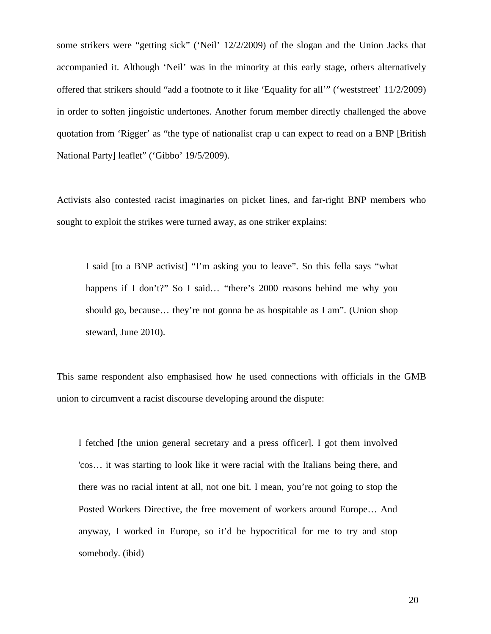some strikers were "getting sick" ('Neil' 12/2/2009) of the slogan and the Union Jacks that accompanied it. Although 'Neil' was in the minority at this early stage, others alternatively offered that strikers should "add a footnote to it like 'Equality for all'" ('weststreet' 11/2/2009) in order to soften jingoistic undertones. Another forum member directly challenged the above quotation from 'Rigger' as "the type of nationalist crap u can expect to read on a BNP [British National Party] leaflet" ('Gibbo' 19/5/2009).

Activists also contested racist imaginaries on picket lines, and far-right BNP members who sought to exploit the strikes were turned away, as one striker explains:

I said [to a BNP activist] "I'm asking you to leave". So this fella says "what happens if I don't?" So I said... "there's 2000 reasons behind me why you should go, because… they're not gonna be as hospitable as I am". (Union shop steward, June 2010).

This same respondent also emphasised how he used connections with officials in the GMB union to circumvent a racist discourse developing around the dispute:

I fetched [the union general secretary and a press officer]. I got them involved 'cos… it was starting to look like it were racial with the Italians being there, and there was no racial intent at all, not one bit. I mean, you're not going to stop the Posted Workers Directive, the free movement of workers around Europe… And anyway, I worked in Europe, so it'd be hypocritical for me to try and stop somebody. (ibid)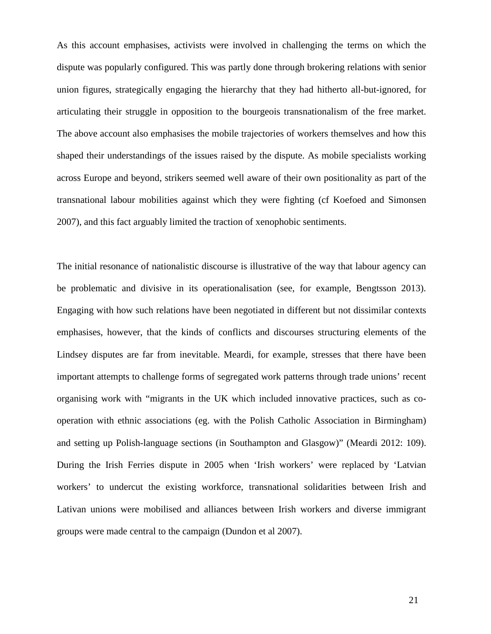As this account emphasises, activists were involved in challenging the terms on which the dispute was popularly configured. This was partly done through brokering relations with senior union figures, strategically engaging the hierarchy that they had hitherto all-but-ignored, for articulating their struggle in opposition to the bourgeois transnationalism of the free market. The above account also emphasises the mobile trajectories of workers themselves and how this shaped their understandings of the issues raised by the dispute. As mobile specialists working across Europe and beyond, strikers seemed well aware of their own positionality as part of the transnational labour mobilities against which they were fighting (cf Koefoed and Simonsen 2007), and this fact arguably limited the traction of xenophobic sentiments.

The initial resonance of nationalistic discourse is illustrative of the way that labour agency can be problematic and divisive in its operationalisation (see, for example, Bengtsson 2013). Engaging with how such relations have been negotiated in different but not dissimilar contexts emphasises, however, that the kinds of conflicts and discourses structuring elements of the Lindsey disputes are far from inevitable. Meardi, for example, stresses that there have been important attempts to challenge forms of segregated work patterns through trade unions' recent organising work with "migrants in the UK which included innovative practices, such as cooperation with ethnic associations (eg. with the Polish Catholic Association in Birmingham) and setting up Polish-language sections (in Southampton and Glasgow)" (Meardi 2012: 109). During the Irish Ferries dispute in 2005 when 'Irish workers' were replaced by 'Latvian workers' to undercut the existing workforce, transnational solidarities between Irish and Lativan unions were mobilised and alliances between Irish workers and diverse immigrant groups were made central to the campaign (Dundon et al 2007).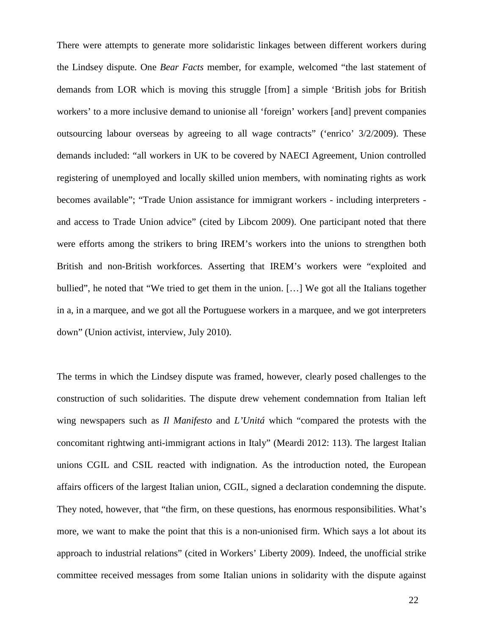There were attempts to generate more solidaristic linkages between different workers during the Lindsey dispute. One *Bear Facts* member, for example, welcomed "the last statement of demands from LOR which is moving this struggle [from] a simple 'British jobs for British workers' to a more inclusive demand to unionise all 'foreign' workers [and] prevent companies outsourcing labour overseas by agreeing to all wage contracts" ('enrico' 3/2/2009). These demands included: "all workers in UK to be covered by NAECI Agreement, Union controlled registering of unemployed and locally skilled union members, with nominating rights as work becomes available"; "Trade Union assistance for immigrant workers - including interpreters and access to Trade Union advice" (cited by Libcom 2009). One participant noted that there were efforts among the strikers to bring IREM's workers into the unions to strengthen both British and non-British workforces. Asserting that IREM's workers were "exploited and bullied", he noted that "We tried to get them in the union. […] We got all the Italians together in a, in a marquee, and we got all the Portuguese workers in a marquee, and we got interpreters down" (Union activist, interview, July 2010).

The terms in which the Lindsey dispute was framed, however, clearly posed challenges to the construction of such solidarities. The dispute drew vehement condemnation from Italian left wing newspapers such as *Il Manifesto* and *L'Unitá* which "compared the protests with the concomitant rightwing anti-immigrant actions in Italy" (Meardi 2012: 113). The largest Italian unions CGIL and CSIL reacted with indignation. As the introduction noted, the European affairs officers of the largest Italian union, CGIL, signed a declaration condemning the dispute. They noted, however, that "the firm, on these questions, has enormous responsibilities. What's more, we want to make the point that this is a non-unionised firm. Which says a lot about its approach to industrial relations" (cited in Workers' Liberty 2009). Indeed, the unofficial strike committee received messages from some Italian unions in solidarity with the dispute against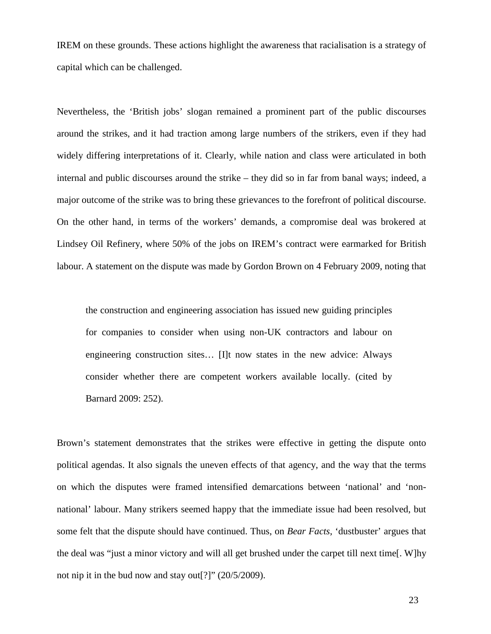IREM on these grounds. These actions highlight the awareness that racialisation is a strategy of capital which can be challenged.

Nevertheless, the 'British jobs' slogan remained a prominent part of the public discourses around the strikes, and it had traction among large numbers of the strikers, even if they had widely differing interpretations of it. Clearly, while nation and class were articulated in both internal and public discourses around the strike – they did so in far from banal ways; indeed, a major outcome of the strike was to bring these grievances to the forefront of political discourse. On the other hand, in terms of the workers' demands, a compromise deal was brokered at Lindsey Oil Refinery, where 50% of the jobs on IREM's contract were earmarked for British labour. A statement on the dispute was made by Gordon Brown on 4 February 2009, noting that

the construction and engineering association has issued new guiding principles for companies to consider when using non-UK contractors and labour on engineering construction sites… [I]t now states in the new advice: Always consider whether there are competent workers available locally. (cited by Barnard 2009: 252).

Brown's statement demonstrates that the strikes were effective in getting the dispute onto political agendas. It also signals the uneven effects of that agency, and the way that the terms on which the disputes were framed intensified demarcations between 'national' and 'nonnational' labour. Many strikers seemed happy that the immediate issue had been resolved, but some felt that the dispute should have continued. Thus, on *Bear Facts*, 'dustbuster' argues that the deal was "just a minor victory and will all get brushed under the carpet till next time[. W]hy not nip it in the bud now and stay out[?]" (20/5/2009).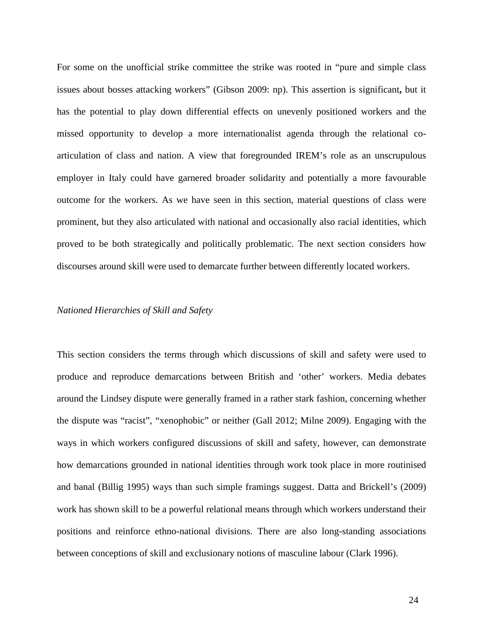For some on the unofficial strike committee the strike was rooted in "pure and simple class issues about bosses attacking workers" (Gibson 2009: np). This assertion is significant**,** but it has the potential to play down differential effects on unevenly positioned workers and the missed opportunity to develop a more internationalist agenda through the relational coarticulation of class and nation. A view that foregrounded IREM's role as an unscrupulous employer in Italy could have garnered broader solidarity and potentially a more favourable outcome for the workers. As we have seen in this section, material questions of class were prominent, but they also articulated with national and occasionally also racial identities, which proved to be both strategically and politically problematic. The next section considers how discourses around skill were used to demarcate further between differently located workers.

# *Nationed Hierarchies of Skill and Safety*

This section considers the terms through which discussions of skill and safety were used to produce and reproduce demarcations between British and 'other' workers. Media debates around the Lindsey dispute were generally framed in a rather stark fashion, concerning whether the dispute was "racist", "xenophobic" or neither (Gall 2012; Milne 2009). Engaging with the ways in which workers configured discussions of skill and safety, however, can demonstrate how demarcations grounded in national identities through work took place in more routinised and banal (Billig 1995) ways than such simple framings suggest. Datta and Brickell's (2009) work has shown skill to be a powerful relational means through which workers understand their positions and reinforce ethno-national divisions. There are also long-standing associations between conceptions of skill and exclusionary notions of masculine labour (Clark 1996).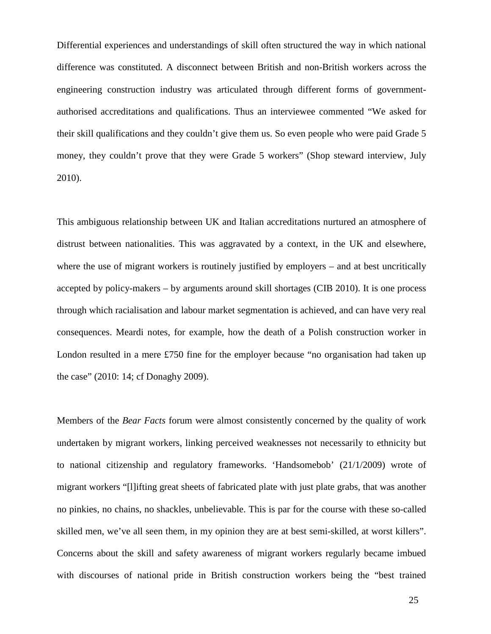Differential experiences and understandings of skill often structured the way in which national difference was constituted. A disconnect between British and non-British workers across the engineering construction industry was articulated through different forms of governmentauthorised accreditations and qualifications. Thus an interviewee commented "We asked for their skill qualifications and they couldn't give them us. So even people who were paid Grade 5 money, they couldn't prove that they were Grade 5 workers" (Shop steward interview, July 2010).

This ambiguous relationship between UK and Italian accreditations nurtured an atmosphere of distrust between nationalities. This was aggravated by a context, in the UK and elsewhere, where the use of migrant workers is routinely justified by employers – and at best uncritically accepted by policy-makers – by arguments around skill shortages (CIB 2010). It is one process through which racialisation and labour market segmentation is achieved, and can have very real consequences. Meardi notes, for example, how the death of a Polish construction worker in London resulted in a mere £750 fine for the employer because "no organisation had taken up the case" (2010: 14; cf Donaghy 2009).

Members of the *Bear Facts* forum were almost consistently concerned by the quality of work undertaken by migrant workers, linking perceived weaknesses not necessarily to ethnicity but to national citizenship and regulatory frameworks. 'Handsomebob' (21/1/2009) wrote of migrant workers "[l]ifting great sheets of fabricated plate with just plate grabs, that was another no pinkies, no chains, no shackles, unbelievable. This is par for the course with these so-called skilled men, we've all seen them, in my opinion they are at best semi-skilled, at worst killers". Concerns about the skill and safety awareness of migrant workers regularly became imbued with discourses of national pride in British construction workers being the "best trained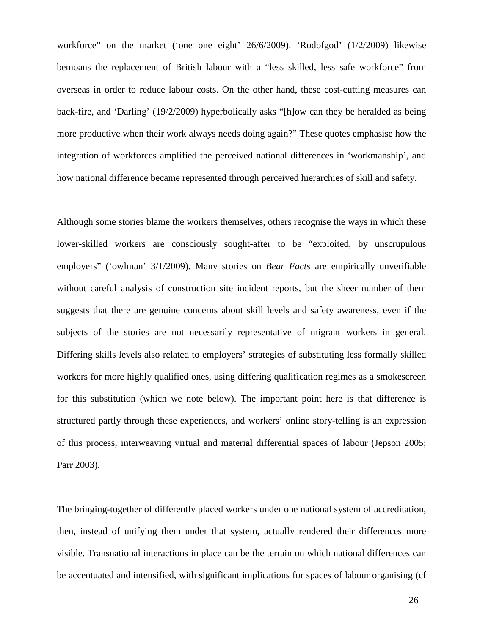workforce" on the market ('one one eight' 26/6/2009). 'Rodofgod' (1/2/2009) likewise bemoans the replacement of British labour with a "less skilled, less safe workforce" from overseas in order to reduce labour costs. On the other hand, these cost-cutting measures can back-fire, and 'Darling' (19/2/2009) hyperbolically asks "[h]ow can they be heralded as being more productive when their work always needs doing again?" These quotes emphasise how the integration of workforces amplified the perceived national differences in 'workmanship', and how national difference became represented through perceived hierarchies of skill and safety.

Although some stories blame the workers themselves, others recognise the ways in which these lower-skilled workers are consciously sought-after to be "exploited, by unscrupulous employers" ('owlman' 3/1/2009). Many stories on *Bear Facts* are empirically unverifiable without careful analysis of construction site incident reports, but the sheer number of them suggests that there are genuine concerns about skill levels and safety awareness, even if the subjects of the stories are not necessarily representative of migrant workers in general. Differing skills levels also related to employers' strategies of substituting less formally skilled workers for more highly qualified ones, using differing qualification regimes as a smokescreen for this substitution (which we note below). The important point here is that difference is structured partly through these experiences, and workers' online story-telling is an expression of this process, interweaving virtual and material differential spaces of labour (Jepson 2005; Parr 2003).

The bringing-together of differently placed workers under one national system of accreditation, then, instead of unifying them under that system, actually rendered their differences more visible. Transnational interactions in place can be the terrain on which national differences can be accentuated and intensified, with significant implications for spaces of labour organising (cf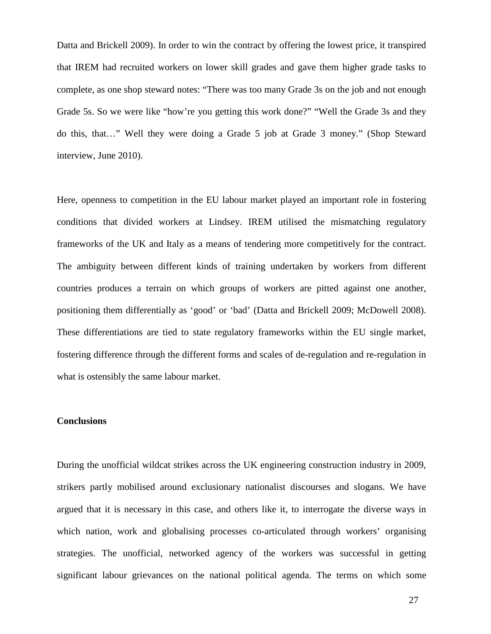Datta and Brickell 2009). In order to win the contract by offering the lowest price, it transpired that IREM had recruited workers on lower skill grades and gave them higher grade tasks to complete, as one shop steward notes: "There was too many Grade 3s on the job and not enough Grade 5s. So we were like "how're you getting this work done?" "Well the Grade 3s and they do this, that…" Well they were doing a Grade 5 job at Grade 3 money." (Shop Steward interview, June 2010).

Here, openness to competition in the EU labour market played an important role in fostering conditions that divided workers at Lindsey. IREM utilised the mismatching regulatory frameworks of the UK and Italy as a means of tendering more competitively for the contract. The ambiguity between different kinds of training undertaken by workers from different countries produces a terrain on which groups of workers are pitted against one another, positioning them differentially as 'good' or 'bad' (Datta and Brickell 2009; McDowell 2008). These differentiations are tied to state regulatory frameworks within the EU single market, fostering difference through the different forms and scales of de-regulation and re-regulation in what is ostensibly the same labour market.

# **Conclusions**

During the unofficial wildcat strikes across the UK engineering construction industry in 2009, strikers partly mobilised around exclusionary nationalist discourses and slogans. We have argued that it is necessary in this case, and others like it, to interrogate the diverse ways in which nation, work and globalising processes co-articulated through workers' organising strategies. The unofficial, networked agency of the workers was successful in getting significant labour grievances on the national political agenda. The terms on which some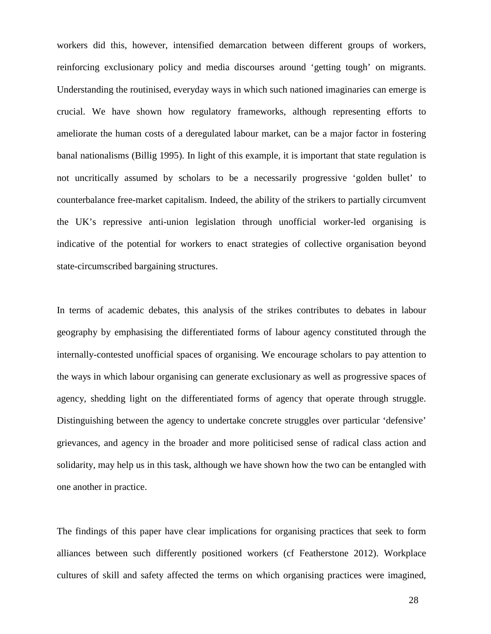workers did this, however, intensified demarcation between different groups of workers, reinforcing exclusionary policy and media discourses around 'getting tough' on migrants. Understanding the routinised, everyday ways in which such nationed imaginaries can emerge is crucial. We have shown how regulatory frameworks, although representing efforts to ameliorate the human costs of a deregulated labour market, can be a major factor in fostering banal nationalisms (Billig 1995). In light of this example, it is important that state regulation is not uncritically assumed by scholars to be a necessarily progressive 'golden bullet' to counterbalance free-market capitalism. Indeed, the ability of the strikers to partially circumvent the UK's repressive anti-union legislation through unofficial worker-led organising is indicative of the potential for workers to enact strategies of collective organisation beyond state-circumscribed bargaining structures.

In terms of academic debates, this analysis of the strikes contributes to debates in labour geography by emphasising the differentiated forms of labour agency constituted through the internally-contested unofficial spaces of organising. We encourage scholars to pay attention to the ways in which labour organising can generate exclusionary as well as progressive spaces of agency, shedding light on the differentiated forms of agency that operate through struggle. Distinguishing between the agency to undertake concrete struggles over particular 'defensive' grievances, and agency in the broader and more politicised sense of radical class action and solidarity, may help us in this task, although we have shown how the two can be entangled with one another in practice.

The findings of this paper have clear implications for organising practices that seek to form alliances between such differently positioned workers (cf Featherstone 2012). Workplace cultures of skill and safety affected the terms on which organising practices were imagined,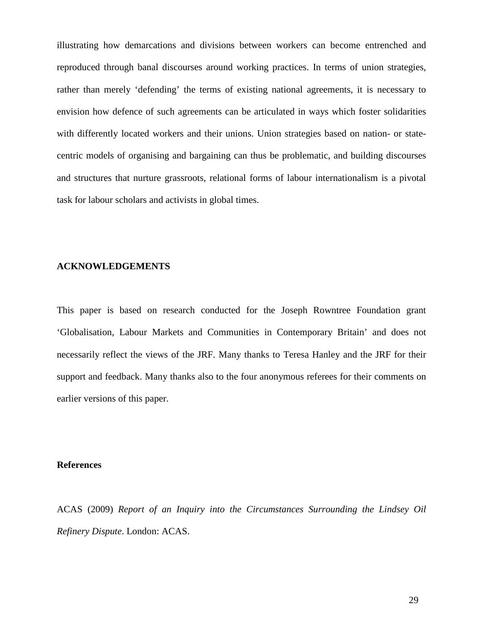illustrating how demarcations and divisions between workers can become entrenched and reproduced through banal discourses around working practices. In terms of union strategies, rather than merely 'defending' the terms of existing national agreements, it is necessary to envision how defence of such agreements can be articulated in ways which foster solidarities with differently located workers and their unions. Union strategies based on nation- or statecentric models of organising and bargaining can thus be problematic, and building discourses and structures that nurture grassroots, relational forms of labour internationalism is a pivotal task for labour scholars and activists in global times.

#### **ACKNOWLEDGEMENTS**

This paper is based on research conducted for the Joseph Rowntree Foundation grant 'Globalisation, Labour Markets and Communities in Contemporary Britain' and does not necessarily reflect the views of the JRF. Many thanks to Teresa Hanley and the JRF for their support and feedback. Many thanks also to the four anonymous referees for their comments on earlier versions of this paper.

#### **References**

ACAS (2009) *Report of an Inquiry into the Circumstances Surrounding the Lindsey Oil Refinery Dispute*. London: ACAS.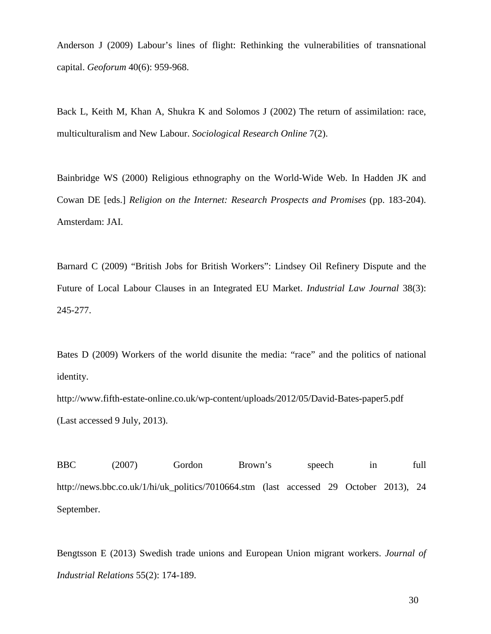Anderson J (2009) Labour's lines of flight: Rethinking the vulnerabilities of transnational capital. *Geoforum* 40(6): 959-968.

Back L, Keith M, Khan A, Shukra K and Solomos J (2002) The return of assimilation: race, multiculturalism and New Labour. *Sociological Research Online* 7(2).

Bainbridge WS (2000) Religious ethnography on the World-Wide Web. In Hadden JK and Cowan DE [eds.] *Religion on the Internet: Research Prospects and Promises* (pp. 183-204). Amsterdam: JAI.

Barnard C (2009) "British Jobs for British Workers": Lindsey Oil Refinery Dispute and the Future of Local Labour Clauses in an Integrated EU Market. *Industrial Law Journal* 38(3): 245-277.

Bates D (2009) Workers of the world disunite the media: "race" and the politics of national identity.

http://www.fifth-estate-online.co.uk/wp-content/uploads/2012/05/David-Bates-paper5.pdf (Last accessed 9 July, 2013).

BBC (2007) Gordon Brown's speech in full http://news.bbc.co.uk/1/hi/uk\_politics/7010664.stm (last accessed 29 October 2013), 24 September.

Bengtsson E (2013) Swedish trade unions and European Union migrant workers. *Journal of Industrial Relations* 55(2): 174-189.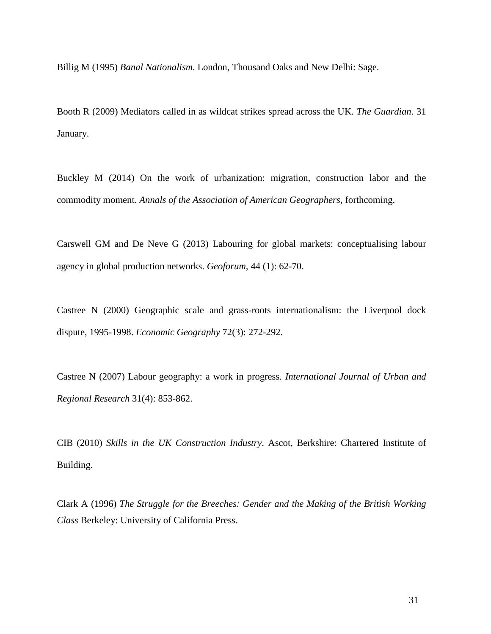Billig M (1995) *Banal Nationalism*. London, Thousand Oaks and New Delhi: Sage.

Booth R (2009) Mediators called in as wildcat strikes spread across the UK. *The Guardian*. 31 January.

Buckley M (2014) On the work of urbanization: migration, construction labor and the commodity moment. *Annals of the Association of American Geographers*, forthcoming.

Carswell GM and De Neve G (2013) Labouring for global markets: conceptualising labour agency in global production networks. *Geoforum,* 44 (1): 62-70.

Castree N (2000) Geographic scale and grass-roots internationalism: the Liverpool dock dispute, 1995-1998. *Economic Geography* 72(3): 272-292.

Castree N (2007) Labour geography: a work in progress. *International Journal of Urban and Regional Research* 31(4): 853-862.

CIB (2010) *Skills in the UK Construction Industry*. Ascot, Berkshire: Chartered Institute of Building.

Clark A (1996) *The Struggle for the Breeches: Gender and the Making of the British Working Class* Berkeley: University of California Press.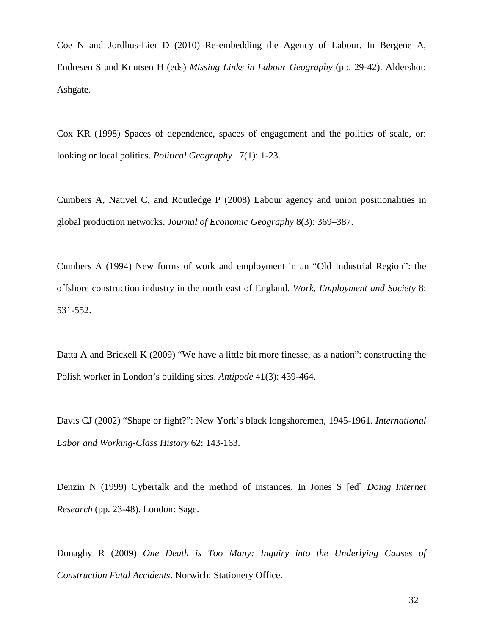Coe N and Jordhus-Lier D (2010) Re-embedding the Agency of Labour. In Bergene A, Endresen S and Knutsen H (eds) *Missing Links in Labour Geography* (pp. 29-42). Aldershot: Ashgate.

Cox KR (1998) Spaces of dependence, spaces of engagement and the politics of scale, or: looking or local politics. *Political Geography* 17(1): 1-23.

Cumbers A, Nativel C, and Routledge P (2008) Labour agency and union positionalities in global production networks. *Journal of Economic Geography* 8(3): 369–387.

Cumbers A (1994) New forms of work and employment in an "Old Industrial Region": the offshore construction industry in the north east of England. *Work, Employment and Society* 8: 531-552.

Datta A and Brickell K (2009) "We have a little bit more finesse, as a nation": constructing the Polish worker in London's building sites. *Antipode* 41(3): 439-464.

Davis CJ (2002) "Shape or fight?": New York's black longshoremen, 1945-1961. *International Labor and Working-Class History* 62: 143-163.

Denzin N (1999) Cybertalk and the method of instances. In Jones S [ed] *Doing Internet Research* (pp. 23-48). London: Sage.

Donaghy R (2009) *One Death is Too Many: Inquiry into the Underlying Causes of Construction Fatal Accidents*. Norwich: Stationery Office.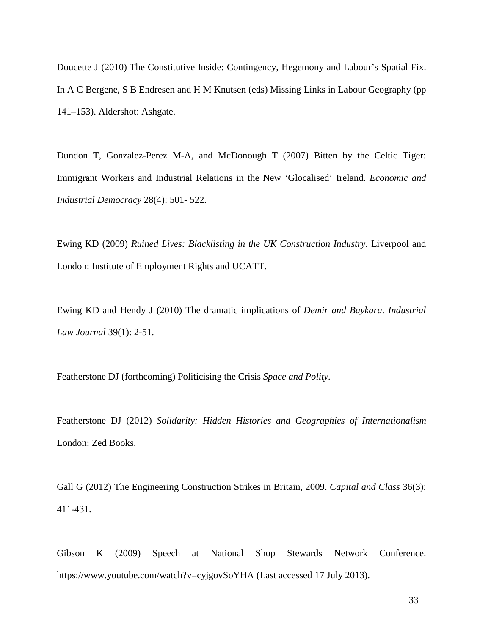Doucette J (2010) The Constitutive Inside: Contingency, Hegemony and Labour's Spatial Fix. In A C Bergene, S B Endresen and H M Knutsen (eds) Missing Links in Labour Geography (pp 141–153). Aldershot: Ashgate.

Dundon T, Gonzalez-Perez M-A, and McDonough T (2007) Bitten by the Celtic Tiger: Immigrant Workers and Industrial Relations in the New 'Glocalised' Ireland. *Economic and Industrial Democracy* 28(4): 501- 522.

Ewing KD (2009) *Ruined Lives: Blacklisting in the UK Construction Industry*. Liverpool and London: Institute of Employment Rights and UCATT.

Ewing KD and Hendy J (2010) The dramatic implications of *Demir and Baykara*. *Industrial Law Journal* 39(1): 2-51.

Featherstone DJ (forthcoming) Politicising the Crisis *Space and Polity.*

Featherstone DJ (2012) *Solidarity: Hidden Histories and Geographies of Internationalism* London: Zed Books.

Gall G (2012) The Engineering Construction Strikes in Britain, 2009. *Capital and Class* 36(3): 411-431.

Gibson K (2009) Speech at National Shop Stewards Network Conference. https://www.youtube.com/watch?v=cyjgovSoYHA (Last accessed 17 July 2013).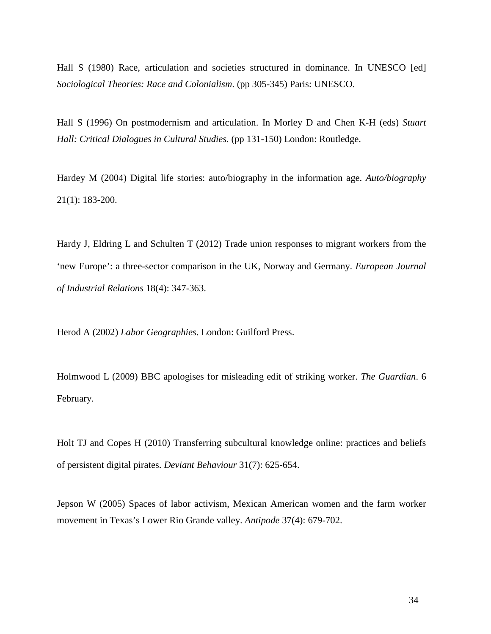Hall S (1980) Race, articulation and societies structured in dominance. In UNESCO [ed] *Sociological Theories: Race and Colonialism*. (pp 305-345) Paris: UNESCO.

Hall S (1996) On postmodernism and articulation. In Morley D and Chen K-H (eds) *Stuart Hall: Critical Dialogues in Cultural Studies*. (pp 131-150) London: Routledge.

Hardey M (2004) Digital life stories: auto/biography in the information age. *Auto/biography* 21(1): 183-200.

Hardy J, Eldring L and Schulten T (2012) Trade union responses to migrant workers from the 'new Europe': a three-sector comparison in the UK, Norway and Germany. *European Journal of Industrial Relations* 18(4): 347-363.

Herod A (2002) *Labor Geographies*. London: Guilford Press.

Holmwood L (2009) BBC apologises for misleading edit of striking worker. *The Guardian*. 6 February.

Holt TJ and Copes H (2010) Transferring subcultural knowledge online: practices and beliefs of persistent digital pirates. *Deviant Behaviour* 31(7): 625-654.

Jepson W (2005) Spaces of labor activism, Mexican American women and the farm worker movement in Texas's Lower Rio Grande valley. *Antipode* 37(4): 679-702.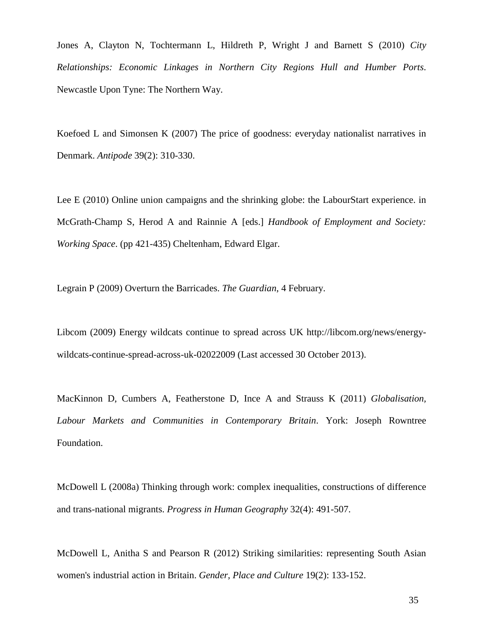Jones A, Clayton N, Tochtermann L, Hildreth P, Wright J and Barnett S (2010) *City Relationships: Economic Linkages in Northern City Regions Hull and Humber Ports*. Newcastle Upon Tyne: The Northern Way.

Koefoed L and Simonsen K (2007) The price of goodness: everyday nationalist narratives in Denmark. *Antipode* 39(2): 310-330.

Lee E (2010) Online union campaigns and the shrinking globe: the LabourStart experience. in McGrath-Champ S, Herod A and Rainnie A [eds.] *Handbook of Employment and Society: Working Space*. (pp 421-435) Cheltenham, Edward Elgar.

Legrain P (2009) Overturn the Barricades. *The Guardian*, 4 February.

Libcom (2009) Energy wildcats continue to spread across UK http://libcom.org/news/energywildcats-continue-spread-across-uk-02022009 (Last accessed 30 October 2013).

MacKinnon D, Cumbers A, Featherstone D, Ince A and Strauss K (2011) *Globalisation, Labour Markets and Communities in Contemporary Britain*. York: Joseph Rowntree Foundation.

McDowell L (2008a) Thinking through work: complex inequalities, constructions of difference and trans-national migrants. *Progress in Human Geography* 32(4): 491-507.

McDowell L, Anitha S and Pearson R (2012) Striking similarities: representing South Asian women's industrial action in Britain. *Gender, Place and Culture* 19(2): 133-152.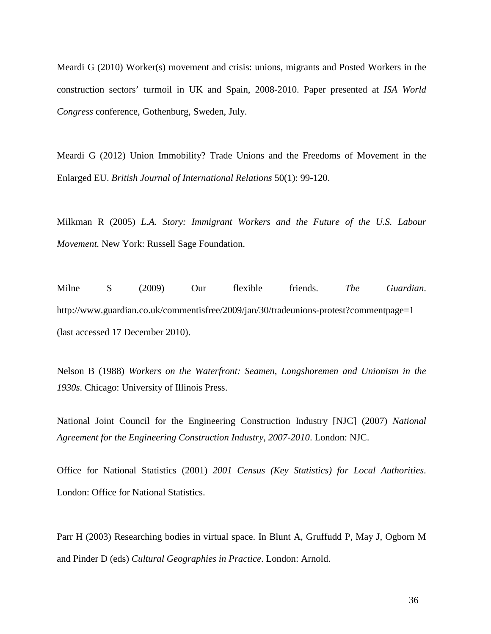Meardi G (2010) Worker(s) movement and crisis: unions, migrants and Posted Workers in the construction sectors' turmoil in UK and Spain, 2008-2010. Paper presented at *ISA World Congress* conference, Gothenburg, Sweden, July.

Meardi G (2012) Union Immobility? Trade Unions and the Freedoms of Movement in the Enlarged EU. *British Journal of International Relations* 50(1): 99-120.

Milkman R (2005) *L.A. Story: Immigrant Workers and the Future of the U.S. Labour Movement.* New York: Russell Sage Foundation.

Milne S (2009) Our flexible friends. *The Guardian*. http://www.guardian.co.uk/commentisfree/2009/jan/30/tradeunions-protest?commentpage=1 (last accessed 17 December 2010).

Nelson B (1988) *Workers on the Waterfront: Seamen, Longshoremen and Unionism in the 1930s*. Chicago: University of Illinois Press.

National Joint Council for the Engineering Construction Industry [NJC] (2007) *National Agreement for the Engineering Construction Industry, 2007-2010*. London: NJC.

Office for National Statistics (2001) *2001 Census (Key Statistics) for Local Authorities*. London: Office for National Statistics.

Parr H (2003) Researching bodies in virtual space. In Blunt A, Gruffudd P, May J, Ogborn M and Pinder D (eds) *Cultural Geographies in Practice*. London: Arnold.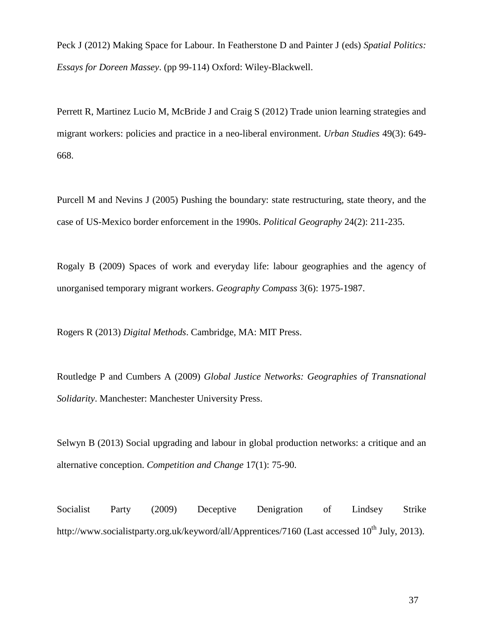Peck J (2012) Making Space for Labour. In Featherstone D and Painter J (eds) *Spatial Politics: Essays for Doreen Massey*. (pp 99-114) Oxford: Wiley-Blackwell.

Perrett R, Martinez Lucio M, McBride J and Craig S (2012) Trade union learning strategies and migrant workers: policies and practice in a neo-liberal environment. *Urban Studies* 49(3): 649- 668.

Purcell M and Nevins J (2005) Pushing the boundary: state restructuring, state theory, and the case of US-Mexico border enforcement in the 1990s. *Political Geography* 24(2): 211-235.

Rogaly B (2009) Spaces of work and everyday life: labour geographies and the agency of unorganised temporary migrant workers. *Geography Compass* 3(6): 1975-1987.

Rogers R (2013) *Digital Methods*. Cambridge, MA: MIT Press.

Routledge P and Cumbers A (2009) *Global Justice Networks: Geographies of Transnational Solidarity*. Manchester: Manchester University Press.

Selwyn B (2013) Social upgrading and labour in global production networks: a critique and an alternative conception. *Competition and Change* 17(1): 75-90.

Socialist Party (2009) Deceptive Denigration of Lindsey Strike http://www.socialistparty.org.uk/keyword/all/Apprentices/7160 (Last accessed 10<sup>th</sup> July, 2013).